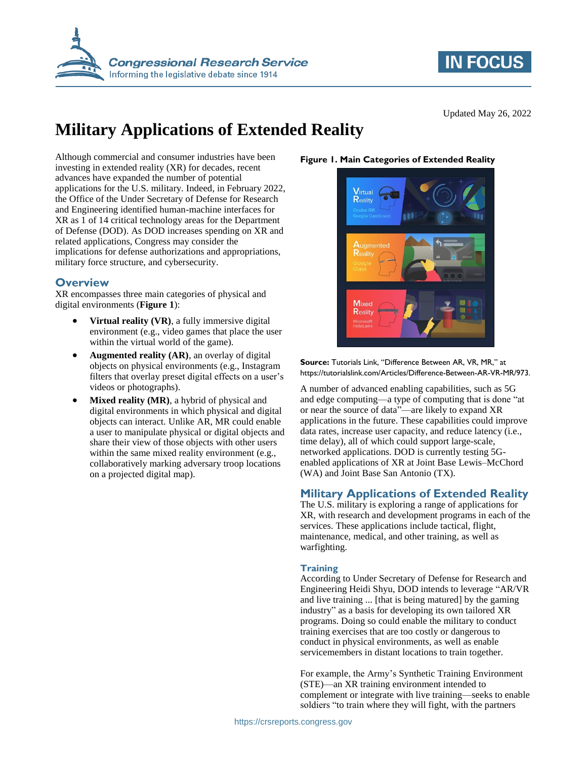



Updated May 26, 2022

# **Military Applications of Extended Reality**

Although commercial and consumer industries have been investing in extended reality (XR) for decades, recent advances have expanded the number of potential applications for the U.S. military. Indeed, in February 2022, the Office of the Under Secretary of Defense for Research and Engineering identified human-machine interfaces for XR as 1 of 14 critical technology areas for the Department of Defense (DOD). As DOD increases spending on XR and related applications, Congress may consider the implications for defense authorizations and appropriations, military force structure, and cybersecurity.

## **Overview**

XR encompasses three main categories of physical and digital environments (**[Figure 1](#page-0-0)**):

- **Virtual reality (VR)**, a fully immersive digital environment (e.g., video games that place the user within the virtual world of the game).
- **Augmented reality (AR)**, an overlay of digital objects on physical environments (e.g., Instagram filters that overlay preset digital effects on a user's videos or photographs).
- **Mixed reality (MR)**, a hybrid of physical and digital environments in which physical and digital objects can interact. Unlike AR, MR could enable a user to manipulate physical or digital objects and share their view of those objects with other users within the same mixed reality environment (e.g., collaboratively marking adversary troop locations on a projected digital map).

## <span id="page-0-0"></span>**Figure 1. Main Categories of Extended Reality**



**Source:** Tutorials Link, "Difference Between AR, VR, MR," at https://tutorialslink.com/Articles/Difference-Between-AR-VR-MR/973.

A number of advanced enabling capabilities, such as 5G and edge computing—a type of computing that is done "at or near the source of data"—are likely to expand XR applications in the future. These capabilities could improve data rates, increase user capacity, and reduce latency (i.e., time delay), all of which could support large-scale, networked applications. DOD is currently testing 5Genabled applications of XR at Joint Base Lewis–McChord (WA) and Joint Base San Antonio (TX).

## **Military Applications of Extended Reality**

The U.S. military is exploring a range of applications for XR, with research and development programs in each of the services. These applications include tactical, flight, maintenance, medical, and other training, as well as warfighting.

## **Training**

According to Under Secretary of Defense for Research and Engineering Heidi Shyu, DOD intends to leverage "AR/VR and live training ... [that is being matured] by the gaming industry" as a basis for developing its own tailored XR programs. Doing so could enable the military to conduct training exercises that are too costly or dangerous to conduct in physical environments, as well as enable servicemembers in distant locations to train together.

For example, the Army's Synthetic Training Environment (STE)—an XR training environment intended to complement or integrate with live training—seeks to enable soldiers "to train where they will fight, with the partners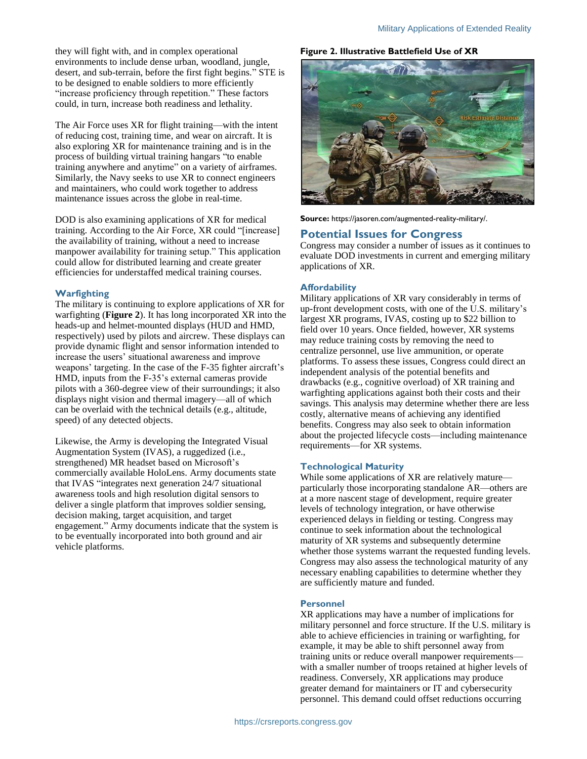they will fight with, and in complex operational environments to include dense urban, woodland, jungle, desert, and sub-terrain, before the first fight begins." STE is to be designed to enable soldiers to more efficiently "increase proficiency through repetition." These factors could, in turn, increase both readiness and lethality.

The Air Force uses XR for flight training—with the intent of reducing cost, training time, and wear on aircraft. It is also exploring XR for maintenance training and is in the process of building virtual training hangars "to enable training anywhere and anytime" on a variety of airframes. Similarly, the Navy seeks to use XR to connect engineers and maintainers, who could work together to address maintenance issues across the globe in real-time.

DOD is also examining applications of XR for medical training. According to the Air Force, XR could "[increase] the availability of training, without a need to increase manpower availability for training setup." This application could allow for distributed learning and create greater efficiencies for understaffed medical training courses.

## **Warfighting**

The military is continuing to explore applications of XR for warfighting (**[Figure 2](#page-1-0)**). It has long incorporated XR into the heads-up and helmet-mounted displays (HUD and HMD, respectively) used by pilots and aircrew. These displays can provide dynamic flight and sensor information intended to increase the users' situational awareness and improve weapons' targeting. In the case of the F-35 fighter aircraft's HMD, inputs from the F-35's external cameras provide pilots with a 360-degree view of their surroundings; it also displays night vision and thermal imagery—all of which can be overlaid with the technical details (e.g., altitude, speed) of any detected objects.

Likewise, the Army is developing the Integrated Visual Augmentation System (IVAS), a ruggedized (i.e., strengthened) MR headset based on Microsoft's commercially available HoloLens. Army documents state that IVAS "integrates next generation 24/7 situational awareness tools and high resolution digital sensors to deliver a single platform that improves soldier sensing, decision making, target acquisition, and target engagement." Army documents indicate that the system is to be eventually incorporated into both ground and air vehicle platforms.

## <span id="page-1-0"></span>**Figure 2. Illustrative Battlefield Use of XR**



**Source:** https://jasoren.com/augmented-reality-military/.

## **Potential Issues for Congress**

Congress may consider a number of issues as it continues to evaluate DOD investments in current and emerging military applications of XR.

#### **Affordability**

Military applications of XR vary considerably in terms of up-front development costs, with one of the U.S. military's largest XR programs, IVAS, costing up to \$22 billion to field over 10 years. Once fielded, however, XR systems may reduce training costs by removing the need to centralize personnel, use live ammunition, or operate platforms. To assess these issues, Congress could direct an independent analysis of the potential benefits and drawbacks (e.g., cognitive overload) of XR training and warfighting applications against both their costs and their savings. This analysis may determine whether there are less costly, alternative means of achieving any identified benefits. Congress may also seek to obtain information about the projected lifecycle costs—including maintenance requirements—for XR systems.

## **Technological Maturity**

While some applications of XR are relatively mature particularly those incorporating standalone AR—others are at a more nascent stage of development, require greater levels of technology integration, or have otherwise experienced delays in fielding or testing. Congress may continue to seek information about the technological maturity of XR systems and subsequently determine whether those systems warrant the requested funding levels. Congress may also assess the technological maturity of any necessary enabling capabilities to determine whether they are sufficiently mature and funded.

#### **Personnel**

XR applications may have a number of implications for military personnel and force structure. If the U.S. military is able to achieve efficiencies in training or warfighting, for example, it may be able to shift personnel away from training units or reduce overall manpower requirements with a smaller number of troops retained at higher levels of readiness. Conversely, XR applications may produce greater demand for maintainers or IT and cybersecurity personnel. This demand could offset reductions occurring